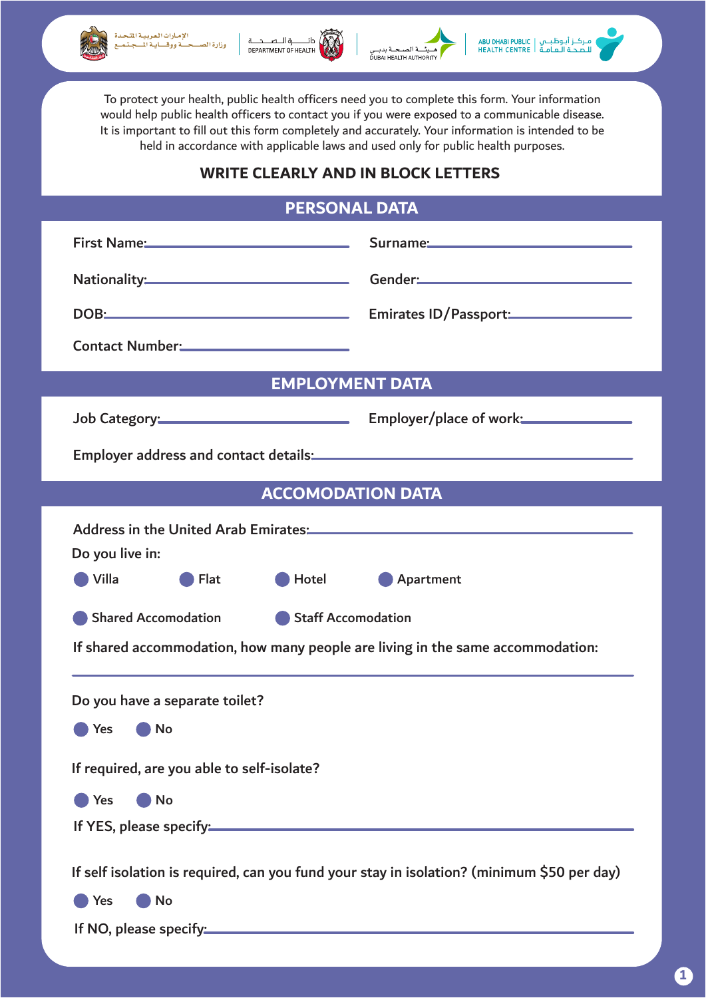







To protect your health, public health officers need you to complete this form. Your information would help public health officers to contact you if you were exposed to a communicable disease. It is important to fill out this form completely and accurately. Your information is intended to be held in accordance with applicable laws and used only for public health purposes.

## **WRITE CLEARLY AND IN BLOCK LETTERS**

## **PERSONAL DATA**

|                                                                                                                                                                                                                                | First Name: Contract of Surname: Contract of Surname:                                                                                                                                                                          |
|--------------------------------------------------------------------------------------------------------------------------------------------------------------------------------------------------------------------------------|--------------------------------------------------------------------------------------------------------------------------------------------------------------------------------------------------------------------------------|
|                                                                                                                                                                                                                                | Nationality: Cender: Communication of the Communication of the Communication of the Communication of the Communication of the Communication of the Communication of the Communication of the Communication of the Communicatio |
|                                                                                                                                                                                                                                | DOB: Emirates ID/Passport:                                                                                                                                                                                                     |
| Contact Number: 2008                                                                                                                                                                                                           |                                                                                                                                                                                                                                |
| <b>EMPLOYMENT DATA</b>                                                                                                                                                                                                         |                                                                                                                                                                                                                                |
|                                                                                                                                                                                                                                |                                                                                                                                                                                                                                |
| Employer address and contact details: Manual Content of the Senator Content of the Senator Content of the Senator Content of the Senator Content of the Senator Content of the Senator Content of the Senator Content of the S |                                                                                                                                                                                                                                |
| <b>ACCOMODATION DATA</b>                                                                                                                                                                                                       |                                                                                                                                                                                                                                |
| Do you live in:<br>Villa<br>Flat<br>Hotel <b>Hotel</b><br>Apartment<br>Staff Accomodation<br><b>Shared Accomodation</b><br>If shared accommodation, how many people are living in the same accommodation:                      |                                                                                                                                                                                                                                |
| Do you have a separate toilet?<br>No<br>Yes<br>If required, are you able to self-isolate?<br><b>No</b><br><b>Yes</b>                                                                                                           |                                                                                                                                                                                                                                |
| If YES, please specify: Manual Community of Second Second Second Second Second Second Second Second Second Second Second Second Second Second Second Second Second Second Second Second Second Second Second Second Second Sec |                                                                                                                                                                                                                                |
| If self isolation is required, can you fund your stay in isolation? (minimum \$50 per day)<br>No                                                                                                                               |                                                                                                                                                                                                                                |
| Yes<br>If NO, please specify: Manual Community of NO, please specify:                                                                                                                                                          |                                                                                                                                                                                                                                |
|                                                                                                                                                                                                                                |                                                                                                                                                                                                                                |